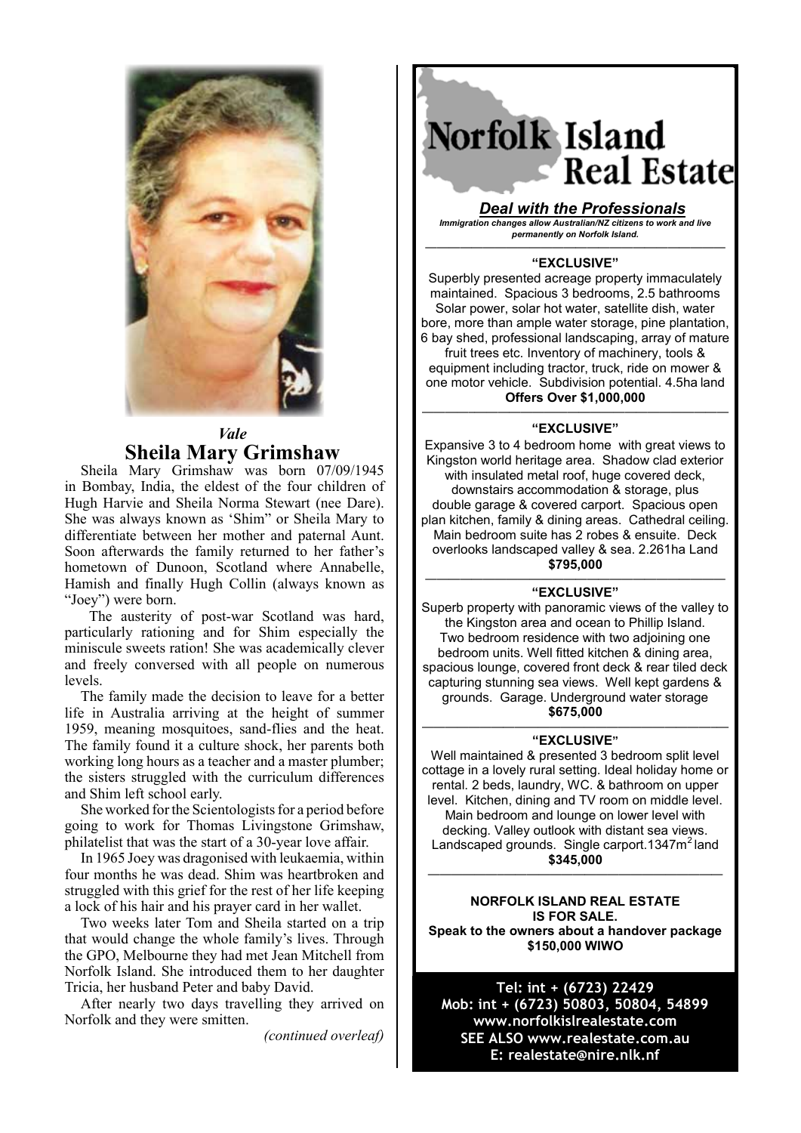

# *Vale* **Sheila Mary Grimshaw**

Sheila Mary Grimshaw was born 07/09/1945 in Bombay, India, the eldest of the four children of Hugh Harvie and Sheila Norma Stewart (nee Dare). She was always known as 'Shim" or Sheila Mary to  $\left| \right|$ differentiate between her mother and paternal Aunt. anterentiate between her mother and paternal Aunt.<br>Soon afterwards the family returned to her father's soon archivatus the family returned to her fame is<br>hometown of Dunoon, Scotland where Annabelle, Hamish and finally Hugh Collin (always known as  $"Joey"$ ) were born.

The austerity of post-war Scotland was hard, particularly rationing and for Shim especially the miniscule sweets ration! She was academically clever and freely conversed with all people on numerous levels. particularly rationing and for  $\mathbb{R}$  shift especially the Shim especially the Shim especially the Shim especially the Shim especially the Shim especially the Shim especially the Shim especially the Shim especially the

The family made the decision to leave for a better life in Australia arriving at the height of summer nie in Australia arriving at the height of summer<br>1959, meaning mosquitoes, sand-flies and the heat. The family found it a culture shock, her parents both Fire family found it a calcule shock, her parents soon working long hours as a teacher and a master plumber; the sisters struggled with the curriculum differences  $\vert$ and Shim left school early.  $\frac{m}{\sqrt{2}}$  increase the matter accession to leave for a better  $\frac{m}{\sqrt{2}}$ 

She worked for the Scientologists for a period before going to work for Thomas Livingstone Grimshaw, philatelist that was the start of a  $30$ -year love affair.

In 1965 Joey was dragonised with leukaemia, within four months he was dead. Shim was heartbroken and  $\left\lceil \frac{1}{2} \right\rceil$ struggled with this grief for the rest of her life keeping  $\left\vert \cdot \right\rangle$ a lock of his hair and his prayer card in her wallet.

a fock of fils han and fils prayer card in fier want.<br>Two weeks later Tom and Sheila started on a trip that would change the whole family's lives. Through the GPO, Melbourne they had met Jean Mitchell from Norfolk Island. She introduced them to her daughter  $\vert$ Tricia, her husband Peter and baby David.

After nearly two days travelling they arrived on  $\vert$ Norfolk and they were smitten.

Norfolk Island. She introduced them to her daughter

*(continued overleaf)* 

# Norfolk Island **Real Estate**

*Deal with the Professionals Immigration changes allow Australian/NZ citizens to work and live Immigration changes allow Australian/NZ citizens to work and live permanently on Norfolk Island. Deal with the Professionals*

*permanently on Norfolk Island.*

one motor vehicle. Subdivision potential. 4.5ha land

#### —————————————————————————— **"EXCLUSIVE"** ——————————————————————————

Superbly presented acreage property immaculately maintained. Spacious 3 bedrooms, 2.5 bathrooms Solar power, solar hot water, satellite dish, water bore, more than ample water storage, pine plantation, water storage, proportion, was also been appear to the contract of the storage of the storage of the storage of the storage of the storage of the storage of the storage ay shed, professional landscaping, array of maddle<br>fruit trees etc. Inventory of machinery, tools & had, heds etc. inventory of maturity, tools are equipment including tractor, truck, ride on mower & of the motor vehicle. Subdivision potential. 4.5ha land **Offers Over \$1,000,000** 6 bay shed, professional landscaping, array of mature

### **Offers Over \$1,000,000 "EXCLUSIVE"** ————–——————————————————————

Expansive 3 to 4 bedroom home with great views to Kingston world heritage area. Shadow clad exterior with insulated metal roof, huge covered deck, downstairs accommodation & storage, plus<br>which reserve a courant external exterior accomabdise garage & covered carport. Spacious open<br>plan kitchen, family & dining areas. Cathedral ceiling. downstance it, taking a similar accords. California Colling.<br>Main bedroom suite has 2 robes & ensuite. Deck main scarcem care has a research encarer. Seen<br>overlooks landscaped valley & sea. 2.261ha Land plan kitchen, family & dining areas. Cathedral ceiling. **\$795,000** double garage & covered carport. Spacious open

#### Main bedroom suite has 2 robes & ensuite has 2 robes & ensuite has 2 robes & ensuite has 2 robes & ensuite has ——————————————————————————

overlooks landscaped valley & sea. 2.261ha Land **"EXCLUSIVE"** Superb property with panoramic views of the valley to the Kingston area and ocean to Phillip Island. Two bedroom residence with two adjoining one bedroom units. Well fitted kitchen & dining area,<br>critical begans a second fract deals & poor tiled deals pacious iounge, covered nont deck & real thed deck<br>capturing stunning sea views. Well kept gardens & This blanning bed views. Well hept salading a line on the model of the model of the model of the model of the m<br>Times adjoining one with the model water storage grounds. Garage. Underground water storage.<br>\$675,000 spacious lounge, covered from the covered from the rear time of the real time of the real time of the real time spacious lounge, covered front deck & rear tiled deck **\$675,000**

#### $"$ **EXCLUSIVE**" —————————————————————————–—

Well maintained & presented 3 bedroom split level **\$675,000** cottage in a lovely rural setting. Ideal holiday home or rental. 2 beds, laundry, WC. & bathroom on upper level. Kitchen, dining and TV room on middle level. Main bedroom and lounge on lower level with ucching. Valley buttour with uistant sea views.<br>andeceped grounde. Single corport 1247m<sup>2</sup> lond Landscaped grounds. Single carport.1347m<sup>2</sup> land<br>\$345,000 level. Kitchen, dining and TV room on middle level. The second level of the level. The second level. The second level. The second level of the second level. The second level of the second level. The second level of the sec decking. Valley outlook with distant sea views. **\$345,000**

Main bedroom and lounge on lower level with **NORFOLK ISLAND REAL ESTATE NORFOLK** Landscaped grounds. Single carport.1347m2 land **IS FOR SALE. Speak to the owners about a handover package** ——————–——————————————————— **\$150,000 WIWO**

——————–———————————————————

**NORFOLK ISLAND REAL ESTATE Tel: int + (6723) 22429 IS FOR SALE. Mob: int + (6723) 50803, 50804, 54899 Speak to the owners about a handover package www.norfolkislrealestate.com \$150,000 WIWO SEE ALSO www.realestate.com.au E: realestate@nire.nlk.nf**

**Tel: int + (6723) 22429**